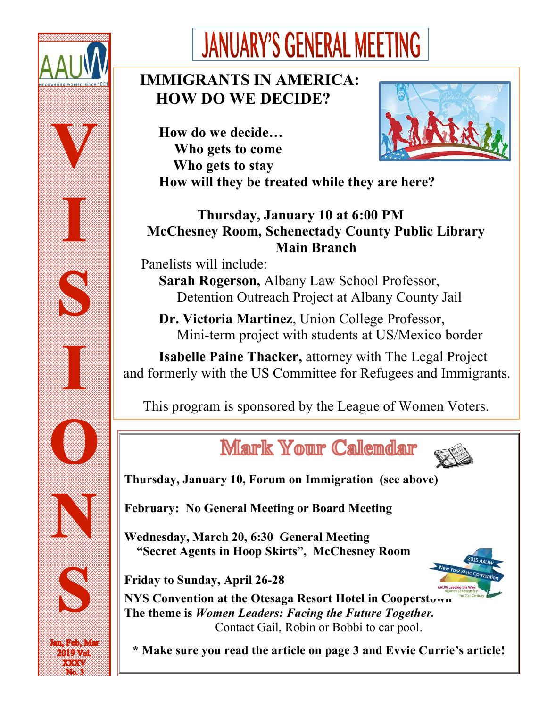

# **JANUARY'S GENERAL MEETING**

# **IMMIGRANTS IN AMERICA: HOW DO WE DECIDE?**

 **How do we decide… Who gets to come Who gets to stay**



 **How will they be treated while they are here?**

# **Thursday, January 10 at 6:00 PM McChesney Room, Schenectady County Public Library Main Branch**

 Panelists will include: **Sarah Rogerson,** Albany Law School Professor, Detention Outreach Project at Albany County Jail

 **Dr. Victoria Martinez**, Union College Professor, Mini-term project with students at US/Mexico border

 **Isabelle Paine Thacker,** attorney with The Legal Project and formerly with the US Committee for Refugees and Immigrants.

This program is sponsored by the League of Women Voters.





**Thursday, January 10, Forum on Immigration (see above)**

**February: No General Meeting or Board Meeting**

**Wednesday, March 20, 6:30 General Meeting "Secret Agents in Hoop Skirts", McChesney Room**



**Friday to Sunday, April 26-28**

**NYS Convention at the Otesaga Resort Hotel in Cooperstown The theme is** *Women Leaders: Facing the Future Together.*  Contact Gail, Robin or Bobbi to car pool.

**\* Make sure you read the article on page 3 and Evvie Currie's article!**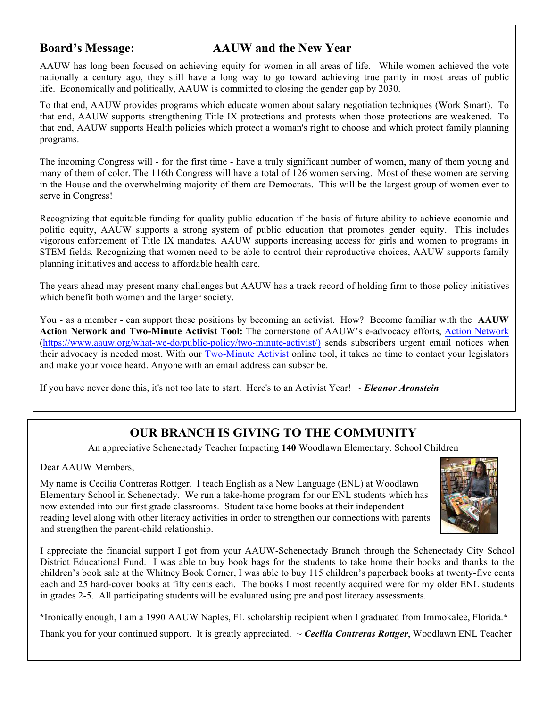# **Board's Message: AAUW and the New Year**

AAUW has long been focused on achieving equity for women in all areas of life. While women achieved the vote nationally a century ago, they still have a long way to go toward achieving true parity in most areas of public life. Economically and politically, AAUW is committed to closing the gender gap by 2030.

To that end, AAUW provides programs which educate women about salary negotiation techniques (Work Smart). To that end, AAUW supports strengthening Title IX protections and protests when those protections are weakened. To that end, AAUW supports Health policies which protect a woman's right to choose and which protect family planning programs.

The incoming Congress will - for the first time - have a truly significant number of women, many of them young and many of them of color. The 116th Congress will have a total of 126 women serving. Most of these women are serving in the House and the overwhelming majority of them are Democrats. This will be the largest group of women ever to serve in Congress!

Recognizing that equitable funding for quality public education if the basis of future ability to achieve economic and politic equity, AAUW supports a strong system of public education that promotes gender equity. This includes vigorous enforcement of Title IX mandates. AAUW supports increasing access for girls and women to programs in STEM fields. Recognizing that women need to be able to control their reproductive choices, AAUW supports family planning initiatives and access to affordable health care.

The years ahead may present many challenges but AAUW has a track record of holding firm to those policy initiatives which benefit both women and the larger society.

You - as a member - can support these positions by becoming an activist. How? Become familiar with the **AAUW Action Network and Two-Minute Activist Tool:** The cornerstone of AAUW's e-advocacy efforts, Action Network (https://www.aauw.org/what-we-do/public-policy/two-minute-activist/) sends subscribers urgent email notices when their advocacy is needed most. With our Two-Minute Activist online tool, it takes no time to contact your legislators and make your voice heard. Anyone with an email address can subscribe.

If you have never done this, it's not too late to start. Here's to an Activist Year! ~ *Eleanor Aronstein*

# **OUR BRANCH IS GIVING TO THE COMMUNITY**

An appreciative Schenectady Teacher Impacting **140** Woodlawn Elementary. School Children

Dear AAUW Members,

My name is Cecilia Contreras Rottger. I teach English as a New Language (ENL) at Woodlawn Elementary School in Schenectady. We run a take-home program for our ENL students which has now extended into our first grade classrooms. Student take home books at their independent reading level along with other literacy activities in order to strengthen our connections with parents and strengthen the parent-child relationship.



**\***Ironically enough, I am a 1990 AAUW Naples, FL scholarship recipient when I graduated from Immokalee, Florida.**\***

Thank you for your continued support. It is greatly appreciated. ~ *Cecilia Contreras Rottger*, Woodlawn ENL Teacher

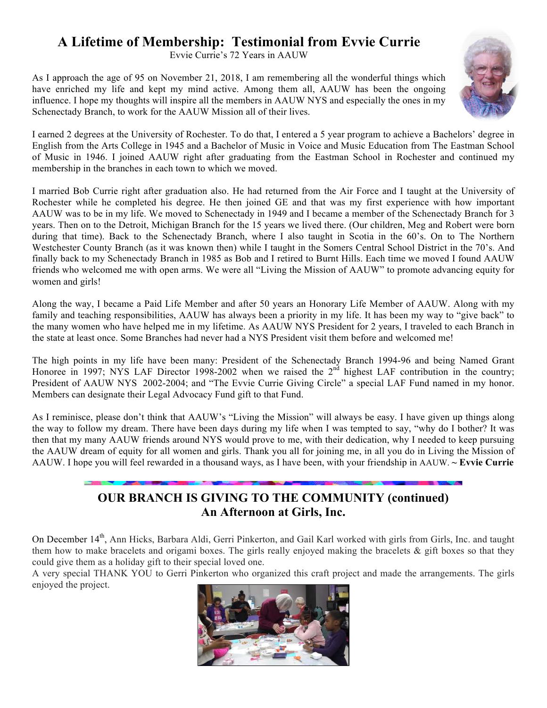# **A Lifetime of Membership: Testimonial from Evvie Currie**

Evvie Currie's 72 Years in AAUW

As I approach the age of 95 on November 21, 2018, I am remembering all the wonderful things which have enriched my life and kept my mind active. Among them all, AAUW has been the ongoing influence. I hope my thoughts will inspire all the members in AAUW NYS and especially the ones in my Schenectady Branch, to work for the AAUW Mission all of their lives.



I earned 2 degrees at the University of Rochester. To do that, I entered a 5 year program to achieve a Bachelors' degree in English from the Arts College in 1945 and a Bachelor of Music in Voice and Music Education from The Eastman School of Music in 1946. I joined AAUW right after graduating from the Eastman School in Rochester and continued my membership in the branches in each town to which we moved.

I married Bob Currie right after graduation also. He had returned from the Air Force and I taught at the University of Rochester while he completed his degree. He then joined GE and that was my first experience with how important AAUW was to be in my life. We moved to Schenectady in 1949 and I became a member of the Schenectady Branch for 3 years. Then on to the Detroit, Michigan Branch for the 15 years we lived there. (Our children, Meg and Robert were born during that time). Back to the Schenectady Branch, where I also taught in Scotia in the 60's. On to The Northern Westchester County Branch (as it was known then) while I taught in the Somers Central School District in the 70's. And finally back to my Schenectady Branch in 1985 as Bob and I retired to Burnt Hills. Each time we moved I found AAUW friends who welcomed me with open arms. We were all "Living the Mission of AAUW" to promote advancing equity for women and girls!

Along the way, I became a Paid Life Member and after 50 years an Honorary Life Member of AAUW. Along with my family and teaching responsibilities, AAUW has always been a priority in my life. It has been my way to "give back" to the many women who have helped me in my lifetime. As AAUW NYS President for 2 years, I traveled to each Branch in the state at least once. Some Branches had never had a NYS President visit them before and welcomed me!

The high points in my life have been many: President of the Schenectady Branch 1994-96 and being Named Grant Honoree in 1997; NYS LAF Director 1998-2002 when we raised the  $2<sup>nd</sup>$  highest LAF contribution in the country; President of AAUW NYS 2002-2004; and "The Evvie Currie Giving Circle" a special LAF Fund named in my honor. Members can designate their Legal Advocacy Fund gift to that Fund.

As I reminisce, please don't think that AAUW's "Living the Mission" will always be easy. I have given up things along the way to follow my dream. There have been days during my life when I was tempted to say, "why do I bother? It was then that my many AAUW friends around NYS would prove to me, with their dedication, why I needed to keep pursuing the AAUW dream of equity for all women and girls. Thank you all for joining me, in all you do in Living the Mission of AAUW. I hope you will feel rewarded in a thousand ways, as I have been, with your friendship in AAUW. **~ Evvie Currie**

# **OUR BRANCH IS GIVING TO THE COMMUNITY (continued) An Afternoon at Girls, Inc.**

On December 14<sup>th</sup>, Ann Hicks, Barbara Aldi, Gerri Pinkerton, and Gail Karl worked with girls from Girls, Inc. and taught them how to make bracelets and origami boxes. The girls really enjoyed making the bracelets & gift boxes so that they could give them as a holiday gift to their special loved one.

A very special THANK YOU to Gerri Pinkerton who organized this craft project and made the arrangements. The girls enjoyed the project.

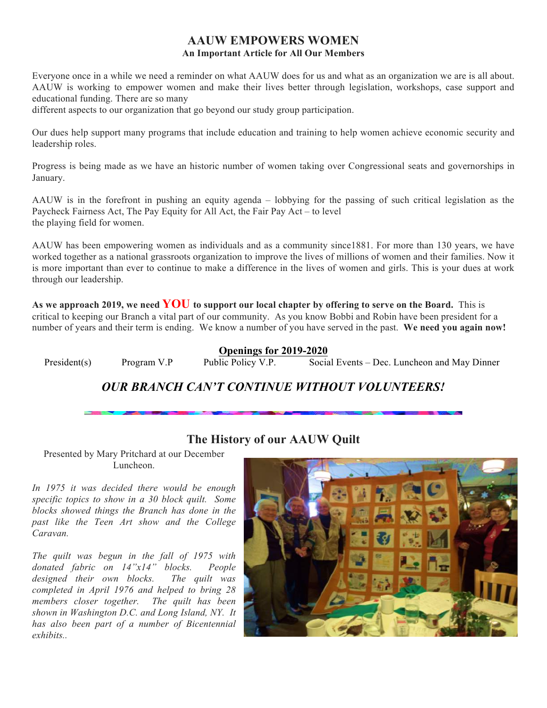#### **AAUW EMPOWERS WOMEN An Important Article for All Our Members**

Everyone once in a while we need a reminder on what AAUW does for us and what as an organization we are is all about. AAUW is working to empower women and make their lives better through legislation, workshops, case support and educational funding. There are so many

different aspects to our organization that go beyond our study group participation.

Our dues help support many programs that include education and training to help women achieve economic security and leadership roles.

Progress is being made as we have an historic number of women taking over Congressional seats and governorships in January.

AAUW is in the forefront in pushing an equity agenda – lobbying for the passing of such critical legislation as the Paycheck Fairness Act, The Pay Equity for All Act, the Fair Pay Act – to level the playing field for women.

AAUW has been empowering women as individuals and as a community since1881. For more than 130 years, we have worked together as a national grassroots organization to improve the lives of millions of women and their families. Now it is more important than ever to continue to make a difference in the lives of women and girls. This is your dues at work through our leadership.

**As we approach 2019, we need YOU to support our local chapter by offering to serve on the Board.** This is critical to keeping our Branch a vital part of our community. As you know Bobbi and Robin have been president for a number of years and their term is ending. We know a number of you have served in the past. **We need you again now!**

#### **Openings for 2019-2020**

President(s) Program V.P Public Policy V.P. Social Events – Dec. Luncheon and May Dinner

## *OUR BRANCH CAN'T CONTINUE WITHOUT VOLUNTEERS!*

## **The History of our AAUW Quilt**

Presented by Mary Pritchard at our December Luncheon.

*In 1975 it was decided there would be enough specific topics to show in a 30 block quilt. Some blocks showed things the Branch has done in the past like the Teen Art show and the College Caravan.*

*The quilt was begun in the fall of 1975 with donated fabric on 14"x14" blocks. People designed their own blocks. The quilt was completed in April 1976 and helped to bring 28 members closer together. The quilt has been shown in Washington D.C. and Long Island, NY. It has also been part of a number of Bicentennial exhibits..* 

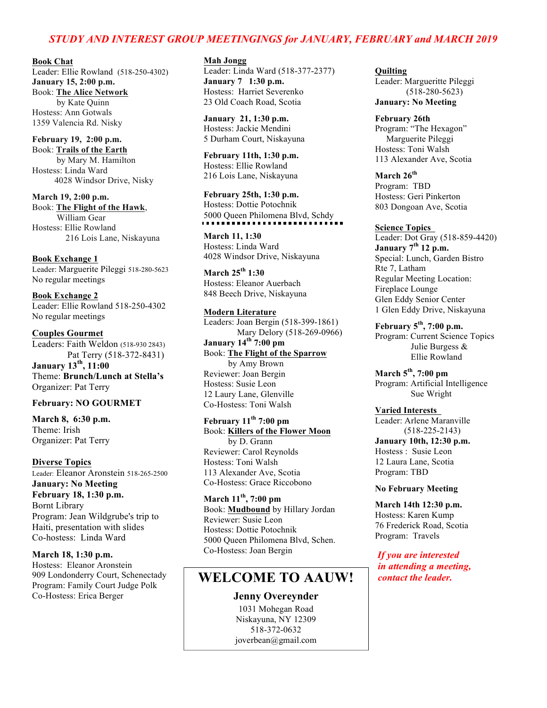#### *STUDY AND INTEREST GROUP MEETINGINGS for JANUARY, FEBRUARY and MARCH 2019*

**Book Chat** Leader: Ellie Rowland (518-250-4302) **January 15, 2:00 p.m.** Book: **The Alice Network** by Kate Quinn Hostess: Ann Gotwals 1359 Valencia Rd. Nisky

**February 19, 2:00 p.m.** Book: **Trails of the Earth** by Mary M. Hamilton Hostess: Linda Ward 4028 Windsor Drive, Nisky

**March 19, 2:00 p.m.** Book: **The Flight of the Hawk**, William Gear Hostess: Ellie Rowland 216 Lois Lane, Niskayuna

**Book Exchange 1** Leader: Marguerite Pileggi 518-280-5623 No regular meetings

**Book Exchange 2** Leader: Ellie Rowland 518-250-4302 No regular meetings

**Couples Gourmet** Leaders: Faith Weldon (518-930 2843) Pat Terry (518-372-8431) **January 13th, 11:00**  Theme: **Brunch/Lunch at Stella's** Organizer: Pat Terry

#### **February: NO GOURMET**

**March 8, 6:30 p.m.** Theme: Irish Organizer: Pat Terry

**Diverse Topics** Leader: Eleanor Aronstein 518-265-2500 **January: No Meeting February 18, 1:30 p.m.** Bornt Library Program: Jean Wildgrube's trip to Haiti, presentation with slides Co-hostess: Linda Ward

**March 18, 1:30 p.m.** Hostess: Eleanor Aronstein 909 Londonderry Court, Schenectady Program: Family Court Judge Polk Co-Hostess: Erica Berger

**Mah Jongg** Leader: Linda Ward (518-377-2377) **January 7 1:30 p.m.** Hostess: Harriet Severenko 23 Old Coach Road, Scotia

**January 21, 1:30 p.m.** Hostess: Jackie Mendini 5 Durham Court, Niskayuna

**February 11th, 1:30 p.m.**  Hostess: Ellie Rowland 216 Lois Lane, Niskayuna

**February 25th, 1:30 p.m.** Hostess: Dottie Potochnik 5000 Queen Philomena Blvd, Schdy

**March 11, 1:30** Hostess: Linda Ward 4028 Windsor Drive, Niskayuna

**March 25th 1:30** Hostess: Eleanor Auerbach 848 Beech Drive, Niskayuna

**Modern Literature** Leaders: Joan Bergin (518-399-1861) Mary Delory (518-269-0966) **January 14th 7:00 pm** Book: **The Flight of the Sparrow** by Amy Brown Reviewer: Joan Bergin Hostess: Susie Leon 12 Laury Lane, Glenville Co-Hostess: Toni Walsh

**February 11th 7:00 pm** Book: **Killers of the Flower Moon** by D. Grann Reviewer: Carol Reynolds Hostess: Toni Walsh 113 Alexander Ave, Scotia Co-Hostess: Grace Riccobono

**March 11th, 7:00 pm** Book: **Mudbound** by Hillary Jordan Reviewer: Susie Leon Hostess: Dottie Potochnik 5000 Queen Philomena Blvd, Schen. Co-Hostess: Joan Bergin

#### **WELCOME TO AAUW!** *contact the leader.*

**Jenny Overeynder** 1031 Mohegan Road

Niskayuna, NY 12309 518-372-0632 joverbean@gmail.com **Quilting** Leader: Margueritte Pileggi (518-280-5623) **January: No Meeting**

**February 26th** Program: "The Hexagon" Marguerite Pileggi Hostess: Toni Walsh 113 Alexander Ave, Scotia

**March 26th** Program: TBD Hostess: Geri Pinkerton 803 Dongoan Ave, Scotia

**Science Topics**  Leader: Dot Gray (518-859-4420) **January 7th 12 p.m.** Special: Lunch, Garden Bistro Rte 7, Latham Regular Meeting Location: Fireplace Lounge Glen Eddy Senior Center 1 Glen Eddy Drive, Niskayuna

**February 5th, 7:00 p.m.** Program: Current Science Topics Julie Burgess & Ellie Rowland

**March 5th, 7:00 pm** Program: Artificial Intelligence Sue Wright

**Varied Interests**  Leader: Arlene Maranville (518-225-2143) **January 10th, 12:30 p.m.** Hostess : Susie Leon 12 Laura Lane, Scotia Program: TBD

#### **No February Meeting**

**March 14th 12:30 p.m.** Hostess: Karen Kump 76 Frederick Road, Scotia Program: Travels

*If you are interested in attending a meeting,*